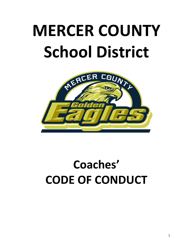# **MERCER COUNTY School District**



## **Coaches' CODE OF CONDUCT**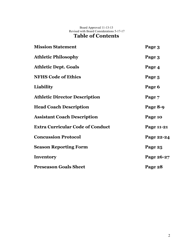Board Approved 11-13-13 Revised with Board Considerations 5-17-17

## **Table of Contents**

| <b>Mission Statement</b>                | Page 3     |
|-----------------------------------------|------------|
| <b>Athletic Philosophy</b>              | Page 3     |
| <b>Athletic Dept. Goals</b>             | Page 4     |
| <b>NFHS Code of Ethics</b>              | Page 5     |
| <b>Liability</b>                        | Page 6     |
| <b>Athletic Director Description</b>    | Page 7     |
| <b>Head Coach Description</b>           | Page 8-9   |
| <b>Assistant Coach Description</b>      | Page 10    |
| <b>Extra Curricular Code of Conduct</b> | Page 11-21 |
| <b>Concussion Protocol</b>              | Page 22-24 |
| <b>Season Reporting Form</b>            | Page 25    |
| Inventory                               | Page 26-27 |
| <b>Preseason Goals Sheet</b>            | Page 28    |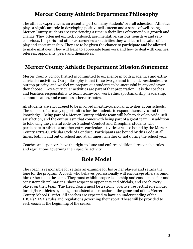## **Mercer County Athletic Department Philosophy**

The athletic experience is an essential part of many students' overall education. Athletics plays a significant role in developing positive self-esteem and a sense of well-being. Mercer County students are experiencing a time in their lives of tremendous growth and change. They often get excited, confused, argumentative, curious, sensitive and selfconscious. In sports and other extracurricular activities they will learn the value of fair play and sportsmanship. They are to be given the chance to participate and be allowed to make mistakes. They will learn to appreciate teamwork and how to deal with coaches, referees, opponents, peers and themselves.

## **Mercer County Athletic Department Mission Statement**

Mercer County School District is committed to excellence in both academics and extracurricular activities. Our philosophy is that these two go hand in hand. Academics are our top priority, and we feel we prepare our students to be successful in any endeavor they choose. Extra-curricular activities are part of that preparation. It is the coaches and teachers responsibility to teach teamwork, work ethic, sportsmanship, leadership, communication, and countless other attributes.

All students are encouraged to be involved in extra-curricular activities at our schools. The schools offer many opportunities for the students to expand themselves and their knowledge. Being part of a Mercer County athletic team will help to develop pride, selfsatisfaction, and the enthusiasm that comes with being part of a great team. In addition to following the general code for Student Conduct and Discipline, students who participate in athletics or other extra-curricular activities are also bound by the Mercer County Extra-Curricular Code of Conduct. Participants are bound by this Code at all times, both in and out of school and at all times, whether or not during the school year.

Coaches and sponsors have the right to issue and enforce additional reasonable rules and regulations governing their specific activity

## **Role Model**

The coach is responsible for setting an example for his or her players and setting the tone for the program. A coach who behaves professionally will encourage others around him or her to do the same. They must exhibit proper leadership and conduct, be fair and consistent disciplinarians, show respect to opponents and officials, and coach every player on their team. The Head Coach must be a strong, positive, respectful role model for his/her athletes by being a consistent ambassador of the game and of the Mercer County School District. All coaches are expected to have an understanding of the IHSA's/IESA's rules and regulations governing their sport. These will be provided to each coach at the beginning of the season.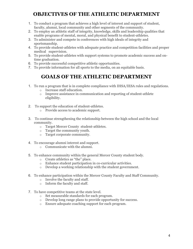## **OBJECTIVES OF THE ATHLETIC DEPARTMENT**

- 1. To conduct a program that achieves a high level of interest and support of student, faculty, alumni, local community and other segments of the community.
- 2. To employ an athletic staff of integrity, knowledge, skills and leadership qualities that enable programs of mental, moral, and physical benefit to student-athletes.
- 3. To administer and compete in conferences with high ideals of integrity and sportsmanship.
- 4. To provide student-athletes with adequate practice and competition facilities and proper medical supervision.
- 5. To provide student-athletes with support systems to promote academic success and ontime graduation.
- 6. To provide successful competitive athletic opportunities.
- 7. To provide information for all sports to the media, on an equitable basis.

## **GOALS OF THE ATHLETIC DEPARTMENT**

- 1. To run a program that is in complete compliance with IHSA/IESA rules and regulations.
	- o Increase staff education.
	- o Improve assistance in communication and reporting of student-athlete eligibility.
- 2. To support the education of student-athletes.
	- o Provide access to academic support.
- 3. To continue strengthening the relationship between the high school and the local community.
	- o Target Mercer County student-athletes.
	- o Target the community youth.
	- o Target corporate community.
- 4. To encourage alumni interest and support.
	- o Communicate with the alumni.
- 5. To enhance community within the general Mercer County student body.
	- o Create athletics as "the" place.
	- o Enhance student participation in co-curricular activities.
	- o Develop a working relationship with the student government.
- 6. To enhance participation within the Mercer County Faculty and Staff Community.
	- o Involve the faculty and staff.
	- o Inform the faculty and staff.
- 7. To have competitive teams at the state level.
	- o Set measurable standards for each program.
	- o Develop long range plans to provide opportunity for success.
	- o Ensure adequate coaching support for each program.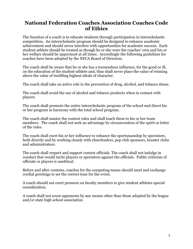## **National Federation Coaches Association Coaches Code of Ethics**

The function of a coach is to educate students through participation in interscholastic competition. An interscholastic program should be designed to enhance academic achievement and should never interfere with opportunities for academic success. Each student-athlete should be treated as though he or she were the coaches' own and his or her welfare should be uppermost at all times. Accordingly the following guidelines for coaches have been adopted by the NFCA Board of Directors.

The coach shall be aware that he or she has a tremendous influence, for the good or ill, on the education of the student-athlete and, thus shall never place the value of winning above the value of instilling highest ideals of character.

The coach shall take an active role in the prevention of drug, alcohol, and tobacco abuse.

The coach shall avoid the use of alcohol and tobacco products when in contact with players.

The coach shall promote the entire interscholastic program of the school and direct his or her program in harmony with the total school program.

The coach shall master the contest rules and shall teach them to his or her team members. The coach shall not seek an advantage by circumvention of the spirit or letter of the rules.

The coach shall exert his or her influence to enhance the sportsmanship by spectators, both directly and by working closely with cheerleaders, pep club sponsors, booster clubs and administrators.

The coach shall respect and support contest officials. The coach shall not indulge in conduct that would incite players or spectators against the officials. Public criticism of officials or players is unethical.

Before and after contests, coaches for the competing teams should meet and exchange cordial greetings to set the correct tone for the event.

A coach should not exert pressure on faculty members to give student athletes special consideration.

A coach shall not scout opponents by any means other than those adopted by the league and/or state high school association.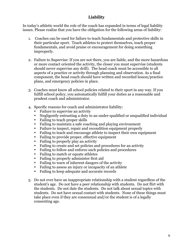#### **Liability**

In today's athletic world the role of the coach has expanded in terms of legal liability issues. Please realize that you have the obligation for the following areas of liability:

- 1. Coaches can be sued for failure to teach fundamentals and protective skills in their particular sport. Teach athletes to protect themselves, teach proper fundamentals, and avoid praise or encouragement for doing something improperly.
- 2. Failure to Supervise: If you are not there, you are liable, and the more hazardous or more contact oriented the activity, the closer you must supervise (students should never supervise any drill). The head coach must be accessible to all aspects of a practice or activity through planning and observation. As a final component, the head coach should have written and recorded lesson/practice plans, and emergency policies in place.
- 3. Coaches must know all school policies related to their sport in any way. If you fulfill school policy, you automatically fulfill your duties as a reasonable and prudent coach and administrator.
- 4. Specific reasons for coach and administrator liability:
	- Failure to supervise an activity
	- Negligently entrusting a duty to an under-qualified or unqualified individual
	- Failing to teach proper skills
	- Failing to maintain a safe coaching and playing environment
	- Failure to inspect, repair and recondition equipment properly
	- Failing to teach and encourage athlete to inspect their own equipment
	- Failing to provide proper, effective equipment
	- Failing to properly play an activity
	- Failing to create and set policies and procedures for an activity
	- Failing to follow and enforce such policies and procedures
	- Failing to match or equate athletes
	- Failing to properly administer first aid
	- Failing to warn of inherent dangers of the activity
	- Failing to assess an injury or incapacity of an athlete
	- Failing to keep adequate and accurate records
- 5. Do not ever have an inappropriate relationship with a student regardless of the student's age. Do not have a peer relationship with students. Do not flirt with the students. Do not date the students. Do not talk about sexual topics with students. Do not have sexual contact with students. None of these things must take place even if they are consensual and/or the student is of a legally consenting age.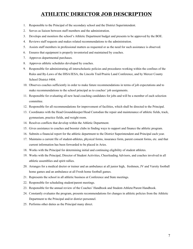## **ATHLETIC DIRECTOR JOB DESCRIPTION**

- 1. Responsible to the Principal of the secondary school and the District Superintendent.
- 2. Serves as liaison between staff members and the administration.
- 3. Develops and monitors the school's Athletic Department budget and presents to be approved by the BOE.
- 4. Reviews staff requests and makes related recommendations to the administration.
- 5. Assists staff members in professional matters as requested or as the need for such assistance is observed.
- 6. Ensures that equipment is properly inventoried and maintained by coaches.
- 7. Approves departmental purchases.
- 8. Approves athletic schedules developed by coaches.
- 9. Responsible for administrating all interscholastic policies and procedures working within the confines of the Rules and By-Laws of the IHSA/IESA, the Lincoln Trail/Prairie Land Conference, and by Mercer County School District #404.
- 10. Observes coaches sufficiently in order to make future recommendations in terms of job expectations and to make recommendations to the school principal as to coaches' job assignments.
- 11. Responsible for evaluating all new head coaching candidates for jobs and will be a member of each selection committee.
- 12. Responsible for all recommendations for improvement of facilities, which shall be directed to the Principal.
- 13. Coordinates with the Head Groundskeeper/Head Custodian the repair and maintenance of athletic fields, track, gymnasium, practice fields, and weight room.
- 14. Resolves conflicts that develop within the Athletic Department.
- 15. Gives assistance to coaches and booster clubs in finding ways to support and finance the athletic program.
- 16. Submits a financial report for the athletic department to the District Superintendent and Principal each year.
- 17. Maintains a current file of student-athletes, physical forms, insurance form, parent consent forms, etc. and that current information has been forwarded to be placed in Aries.
- 18. Works with the Principal for determining initial and continuing eligibility of student athletes.
- 19. Works with the Principal, Director of Student Activities, Cheerleading Advisors, and coaches involved in all athletic assemblies and spirit rallies.
- 20. Arranges for a medical doctor or trainer and an ambulance at all junior high, freshmen, JV and Varsity football home games and an ambulance at all Frosh home football games.
- 21. Represents the school in all athletic business at Conference and State meetings.
- 22. Responsible for scheduling student/parent meetings.
- 23. Responsible for the annual review of the Coaches' Handbook and Student-Athlete/Parent Handbook.
- 24. Constantly evaluates the program, presents recommendations for changes in athletic policies from the Athletic Department to the Principal and/or district personnel.
- 25. Performs other duties as the Principal many direct.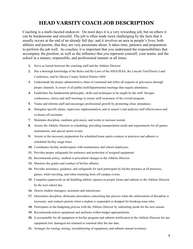## **HEAD VARSITY COACH JOB DESCRIPTION**

Coaching is a multi-faceted endeavor. On most days it is a very rewarding job, but on others it can be burdensome and stressful. The job is often made more challenging by the facts that it usually occurs at the end of an already full day, and it involves an area in people's lives, both athletes and parents, that they are very passionate about. It takes time, patience and preparation to perform the job well. As coaches, it is important that you understand the responsibilities that accompany the position, as well as the influence that you represent yourself, your teams, and the school in a mature, responsible, and professional manner at all times.

- **1.** Serve as liaison between the coaching staff and the Athletic Director.
- **2.** Has a thorough knowledge of the Rules and By-Laws of the IHSA/IESA, the Lincoln Trail/Prairie Land Conference, and by Mercer County School District #404.
- **3.** Understands the proper administrative chain of command and refers all requests or grievances through proper channels. Is aware of all public/staff/departmental meetings that require attendance.
- **4.** Establishes the fundamental philosophy, skills and techniques to be taught by the staff. Designs conferences, clinics and staff meetings to ensure staff awareness of the overall program.
- **5.** Trains and informs staff and encourages professional growth by promoting clinic attendance.
- **6.** Delegates specific duties, supervises implementation, and at season's end analyzes staff effectiveness and evaluates all assistants.
- **7.** Maintains discipline, mediates grievances, and works to increase morale.
- **8.** Assists the Athletic Director in scheduling, providing transportation needs and requirements for all games, tournaments, and special sports events.
- **9.** Assists in the necessary preparation for scheduled home sports contests or practices and adheres to scheduled facility usage times.
- **10.** Coordinates facility needs/repairs with maintenance and school employees.
- **11.** Provides proper safeguards for eminence and protection of assigned equipment.
- **12.** Recommends policy, method or procedural changes to the Athletic Director.
- **13.** Monitors the grades and conduct of his/her athletes.
- **14.** Provides assistance, guidance, and safeguards for each participant by his/her presence at all practices, games, while traveling, and when returning from off-campus events.
- **15.** Completes paperwork on all disabling athletic injuries on proper forms and submits to the Athletic Director by the next school day.
- **16.** Directs student managers, assistants and statisticians.
- **17.** Determines discipline, delineates procedures concerning due process when the enforcement of discipline is necessary, and contacts parents when a student is suspended or dropped for breaking team rules.
- **18.** Participates in the budgeting process with the Athletic Director by submitting needs for the next season.
- **19.** Recommends/selects equipment and uniforms within budget appropriations.
- **20.** Is accountable for all equipment in his/her program and submits notification to the Athletic Director for any equipment lost, damaged not returned or returned after the due date.
- **21.** Arranges for issuing, storing, reconditioning of equipment, and submits annual inventory.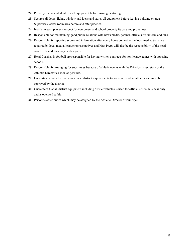- **22.** Properly marks and identifies all equipment before issuing or storing.
- **23.** Secures all doors, lights, window and locks and stores all equipment before leaving building or area. Supervises locker room area before and after practice.
- **24.** Instills in each player a respect for equipment and school property its care and proper use.
- **25.** Responsible for maintaining good public relations with news media, parents, officials, volunteers and fans.
- **26.** Responsible for reporting scores and information after every home contest to the local media. Statistics required by local media, league representatives and Max Preps will also be the responsibility of the head coach. These duties may be delegated.
- **27.** Head Coaches in football are responsible for having written contracts for non-league games with opposing schools.
- **28.** Responsible for arranging for substitutes because of athletic events with the Principal's secretary or the Athletic Director as soon as possible.
- **29.** Understands that all drivers must meet district requirements to transport student-athletes and must be approved by the district.
- **30.** Guarantees that all district equipment including district vehicles is used for official school business only and is operated safely.
- **31.** Performs other duties which may be assigned by the Athletic Director or Principal.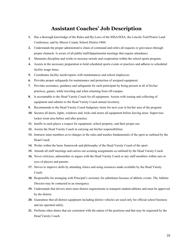### **Assistant Coaches' Job Description**

- **1.** Has a thorough knowledge of the Rules and By-Laws of the IHSA/IESA, the Lincoln Trail/Prairie Land Conference, and by Mercer County School District #404.
- **2.** Understands the proper administrative chain of command and refers all requests or grievances through proper channels. Is aware of all public/staff/departmental meetings that require attendance.
- **3.** Maintains discipline and works to increase morale and cooperation within the school sports program.
- **4.** Assists in the necessary preparation to hold scheduled sports events or practices and adheres to scheduled facility usage times.
- **5.** Coordinates facility needs/repairs with maintenances and school employees.
- **6.** Provides proper safeguards for maintenance and protection of assigned equipment.
- **7.** Provides assistance, guidance and safeguards for each participant by being present at all of his/her practices, games, while traveling and when returning from off-campus.
- **8.** Is accountable to the Head Varsity Coach for all equipment. Assists with issuing and collecting of equipment and submits to the Head Varsity Coach annual inventory.
- **9.** Recommends to the Head Varsity Coach budgetary items for next year in his/her area of the program.
- **10.** Secures all doors, lights, windows and, locks and stores all equipment before leaving areas. Supervises locker room area before and after practice.
- **11.** Instills in each player a respect for equipment, school property, and their proper use.
- **12.** Assists the Head Varsity Coach in carrying out his/her responsibilities.
- **13.** Instructs team members as to changes in the rules and teaches fundamentals of the sport as outlined by the Head Coach.
- **14.** Works within the basic framework and philosophy of the Head Varsity Coach of the sport.
- **15.** Attends all staff meetings and carries out scouting assignments as outlined by the Head Varsity Coach.
- **16.** Never criticizes, admonishes or argues with the Head Varsity Coach or any staff members within ears or eyes of players and parents.
- **17.** Strives to improve skills by attending clinics and using resources made available by the Head Varsity Coach.
- **18.** Responsible for arranging with Principal's secretary for substitutes because of athletic events. The Athletic Director may be contacted in an emergency.
- **19.** Understands that drivers must meet district requirements to transport student-athletes and must be approved by the district.
- **20.** Guarantees that all district equipment including district vehicles are used only for official school business and are operated safely.
- **21.** Performs other duties that are consistent with the nature of the positions and that may be requested by the Head Varsity Coach.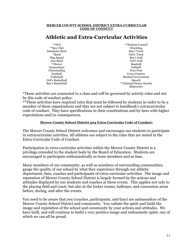#### **MERCER COUNTY SCHOOL DISTRICT EXTRA-CURRICULAR CODE OF CONDUCT**

## **Athletic and Extra-Curricular Activities**

| $*$ $*$ $FFA$          | **Student Council         |
|------------------------|---------------------------|
| **Key Club             | Wrestling                 |
| <b>Scholastic Bowl</b> | Boy's Track               |
| *Band                  | Girl's Track              |
| Flag Squad             | Boy's Golf                |
| Jazz Band              | Girl's Golf               |
| *Chorus                | Baseball                  |
| Generations            | Softball                  |
| Cheerleading           | Pom Pom                   |
| Football               | <b>Cross Country</b>      |
| Volleyball             | <b>Student Government</b> |
| Girl's Basketball      | Speech                    |
| Boy's Basketball       | **National Honor Society  |
|                        | Majorettes                |

\*These activities are connected to a class and will be governed by activity rules and not by this code of conduct policy.

\*\*These activities have required rules that must be followed by students in order to be a member of these organizations and they are not subject to handbook's extracurricular code of conduct. They have specifications in their constitutions and by-laws with higher expectations and/or consequences.

#### **Mercer County School District 404 Extra-Curricular Code of Conduct:**

The Mercer County School District welcomes and encourages our students to participate in extracurricular activities. All athletes are subject to the rules that are stated in the Extra-Curricular Code of Conduct.

Participation in extra-curricular activities within the Mercer County District is a privilege extended to the student body by the Board of Education. Students are encouraged to participate enthusiastically as team members and as fans.

Many members of our community, as well as members of surrounding communities, gauge the quality of our school by what they experience through our athletic department, fans, coaches and participants of extra-curricular activities. The image and reputation of Mercer County School District is largely formed by the actions and attitudes displayed by our students and coaches at these events. This applies not only to the playing field and court, but also in the locker rooms, hallways, and concession areas before, during, and after the events.

You need to be aware that you (coaches, participants, and fans) are ambassadors of the Mercer County School District and community. You radiate the spirit and build the image and reputation of the school and community by your actions and attitudes. We have built, and will continue to build a very positive image and enthusiastic spirit, one of which we can all be proud.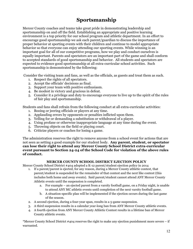## **Sportsmanship**

Mercer County coaches and teams take great pride in demonstrating leadership and sportsmanship on and off the field. Establishing an appropriate and positive learning environment is a top priority for our school program and athletic department. In an effort to encourage good sportsmanship we ask each parent/guardian to discuss the importance of proper behavior at sporting events with their children and continue to model appropriate behavior so that everyone can enjoy attending our sporting events. While winning is an important goal for all of our competitive programs, how we play and conduct ourselves is equally important. Parents and spectators are an important part of the game and shall conform to accepted standards of good sportsmanship and behavior. All students and spectators are expected to evidence good sportsmanship at all extra-curricular school activities. Such sportsmanship is demonstrated by the following:

Consider the visiting team and fans, as well as the officials, as guests and treat them as such.

- 1. Respect the rights of all spectators.
- 2. Accept the officials' decisions as final.
- 3. Support your team with positive enthusiasm.
- 4. Be modest in victory and gracious in defeat.
- 5. Consider it a privilege and duty to encourage everyone to live up to the spirit of the rules of fair play and sportsmanship.

Students and fans shall refrain from the following conduct at all extra-curricular activities:

- 1. Booing or jeering officials or players at any time.
- 2. Applauding errors by opponents or penalties inflicted upon them.
- 3. Yelling for or demanding a substitution or withdrawal of a player.
- 4. Using profane or otherwise inappropriate language at any time during the event.
- 5. Throwing objects on the field or playing court.
- 6. Criticize players or coaches for losing a game.

The administration reserves the right to remove anyone from a school event for actions that are not seen as setting a good example for our student body. **Any parent, student, or spectator can lose their right to attend any Mercer County School District extra-curricular event pursuant to Section 24-24 of the School Code for violation of the above rules of conduct.**

#### **MERCER COUNTY SCHOOL DISTRICT EJECTION POLICY**

Mercer County School District #404 adopted a K-12 parent/student ejection policy in 2014

- 1. If a parent/parent is ejected, for any reason, during a Mercer County athletic contest, that parent/student is suspended for the remainder of that contest and the next like contest (this includes both home and away events). Said parent/student cannot attend ANY Mercer County Athletic events until the suspension is completed.
	- a. For example an ejected parent from a varsity football game, on a Friday night, is unable to attend ANY MC athletic events until completion of the next varsity football game.
	- b. A situation-specific plan will be implemented if the ejection occurs during the last game of the season.
- 2. A second ejection, during a four-year span, results in a 5-game suspension.
- 3. A third suspension results in a calendar year-long ban from ANY Mercer County athletic events.
- 4. A fourth ejection from ANY Mercer County Athletic Contest results in a lifetime ban of Mercer County athletic events.

\*Mercer County School District #404 reserves the right to make any ejection punishment more severe – if warranted.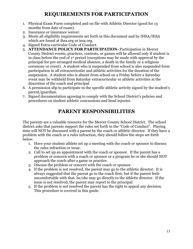## **REQUIREMENTS FOR PARTICIPATION**

- 1. Physical Exam Form completed and on file with Athletic Director (good for 13 months from date of exam).
- 2. Insurance or insurance waiver.
- 3. Meets all eligibility requirements set forth in this document and by IHSA/IESA which are found at ihsa.org or iesa.org.
- 4. Signed Extra-curricular Code of Conduct.
- 5. **ATTENDANCE POLICY FOR PARTICIPATION-** Participation in Mercer County District events, practices, contests, or games will be allowed only if student is in class before the end of 1st period (exceptions may be made with approval by the principal for pre-arranged medical absence, a death in the family or a religious ceremony or event). A student who is suspended from school is also suspended form participation in all extracurricular and athletic activities for the duration of the suspension. A student who is absent from school on a Friday before a Saturday event may be withheld from Saturday extracurricular or athletic activities at the discretion of the coach and principal.
- 6. A permission slip to participate in the specific athletic activity signed by the student's parent/guardian.
- 7. Signed documentation agreeing to comply with the School District's policies and procedures on student athletic concussions and head injuries.

## **PARENT RESPONSIBILITIES**

The parents are a valuable resource for the Mercer County School District. The school district asks that parents support the rules set forth in the "Code of Conduct". Playing time will NOT be discussed with a parent by the coach or athletic director. If they have a problem with the coach or a rules infraction, they should follow the steps set forth below.

- 1. Have your student athlete set up a meeting with the coach or sponsor to discuss the rules infraction or issue.
- 2. Call to set up an appointment with the coach or sponsor. If the parent has a problem or concern with a coach or sponsor or a program he or she should NOT approach the coach after a game or practice.
- 3. Discuss the problem or concern with the coach or sponsor.
- 4. If the problem is not resolved, the parent may go to the athletic director. It is always suggested that the parent go to the coach first, but if the parent feels uncomfortable with that, he/she may go directly to the athletic director. If the issue is not resolved, the parent may report to the principal.
- 5. If the problem is not resolved the parent has the right to appeal any decision. This procedure is covered in this guide.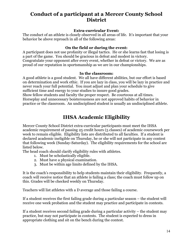## **Conduct of a participant at a Mercer County School District**

#### **Extra-curricular Event:**

The conduct of an athlete is closely observed in all areas of life. It's important that your behavior be above reproach in all of the following areas:

#### **On the field or during the event:**

A participant does not use profanity or illegal tactics. He or she learns fast that losing is a part of the game. You should be gracious in defeat and modest in victory. Congratulate your opponent after every event, whether in defeat or victory. We are as proud of our reputation in sportsmanship as we are in our championships.

#### **In the classroom:**

A good athlete is a good student. We all have different abilities, but our effort is based on determination and work ethic. If you are lazy in class, you will be lazy in practice and never reach your full potential. You must adjust and plan your schedule to give sufficient time and energy to your studies to insure good grades.

Show fellow students and faculty the proper respect. Be courteous at all times. Horseplay and unnecessary boisterousness are not approved habits of behavior in practice or the classroom. An undisciplined student is usually an undisciplined athlete.

## **IHSA Academic Eligibility**

Mercer County School District extra-curricular participants must meet the IHSA academic requirement of passing 25 credit hours (5 classes) of academic coursework per week to remain eligible. Eligibility lists are distributed to all faculties. If a student is declared academic ineligible on Thursday, he or she will not participate in any contest that following week (Sunday-Saturday). The eligibility requirements for the school are listed below.

The head coach should clarify eligibility rules with athletes.

- 1. Must be scholastically eligible.
- 2. Must have a physical examination.
- 3. Must be within age limits defined by the IHSA.

It is the coach's responsibility to help students maintain their eligibility. Frequently, a coach will receive notice that an athlete is failing a class; the coach must follow up on this. Grades will be checked weekly on Thursday.

Teachers will list athletes with a D average and those failing a course.

If a student receives the first failing grade during a particular season – the student will receive one week probation and the student may practice and participate in contests.

If a student receives second failing grade during a particular activity – the student may practice, but may not participate in contests. The student is expected to dress in appropriate clothing and sit on the bench during the contest.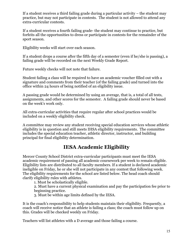If a student receives a third failing grade during a particular activity – the student may practice, but may not participate in contests. The student is not allowed to attend any extra-curricular contests.

If a student receives a fourth failing grade- the student may continue to practice, but forfeits all the opportunities to dress or participate in contests for the remainder of the sport season.

Eligibility weeks will start over each season.

If a student drops a course after the fifth day of a semester (even if he/she is passing), a failing grade will be recorded on the next Weekly Grade Report.

Future weekly checks will not note that failure.

Student failing a class will be required to have an academic voucher filled out with a signature and comments from their teacher (of the failing grade) and turned into the office within 24 hours of being notified of an eligibility issue.

A passing grade would be determined by using an average, that is, a total of all tests, assignments, and other scores for the semester. A failing grade should never be based on the week's work only.

All extra-curricular activities that require regular after school practices would be included on a weekly eligibility check.

A committee may review any student receiving special education services whose athletic eligibility is in question and still meets IHSA eligibility requirements. The committee includes the special education teacher, athletic director, instructor, and building principal for final eligibility determination.

## **IESA Academic Eligibility**

Mercer County School District extra-curricular participants must meet the IESA academic requirement of passing all academic coursework per week to remain eligible. Eligibility lists are distributed to all faculty members. If a student is declared academic ineligible on Friday, he or she will not participate in any contest that following week. The eligibility requirements for the school are listed below. The head coach should clarify eligibility rules with athletes.

1. Must be scholastically eligible.

2. Must have a current physical examination and pay the participation fee prior to beginning practice.

3. Must be within age limits defined by the IESA.

It is the coach's responsibility to help students maintain their eligibility. Frequently, a coach will receive notice that an athlete is failing a class; the coach must follow up on this. Grades will be checked weekly on Friday.

Teachers will list athletes with a D average and those failing a course.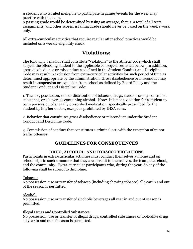A student who is ruled ineligible to participate in games/events for the week may practice with the team.

A passing grade would be determined by using an average, that is, a total of all tests, assignments, and other scores. A failing grade should never be based on the week's work only.

All extra-curricular activities that require regular after school practices would be included on a weekly eligibility check

## **Violations:**

The following behavior shall constitute "violations" to the athletic code which shall subject the offending student to the applicable consequences listed below. In addition, gross disobedience or misconduct as defined in the Student Conduct and Discipline Code may result in exclusion from extra-curricular activities for such period of time as determined appropriate by the administration. Gross disobedience or misconduct may result in suspension or expulsion from school as defined by Board Policy and the Student Conduct and Discipline Code:

1. The use, possession, sale or distribution of tobacco, drugs, steroids or any controlled substance, or a beverage containing alcohol. Note: It is not a violation for a student to be in possession of a legally prescribed medication specifically prescribed for the student by his/her doctor, except as prohibited by IHSA rules.

2. Behavior that constitutes gross disobedience or misconduct under the Student Conduct and Discipline Code.

3. Commission of conduct that constitutes a criminal act, with the exception of minor traffic offenses.

## **GUIDELINES FOR CONSEQUENCES**

### **DRUG, ALCOHOL, AND TOBACCO VIOLATIONS**

Participants in extra-curricular activities must conduct themselves at home and on school trips in such a manner that they are a credit to themselves, the team, the school, and the community. Extra-curricular participants who, during the year, do any of the following shall be subject to discipline.

#### Tobacco:

No possession, use or transfer of tobacco (including chewing tobacco) all year in and out of the season is permitted.

#### Alcohol:

No possession, use or transfer of alcoholic beverages all year in and out of season is permitted.

#### Illegal Drugs and Controlled Substances:

No possession, use or transfer of illegal drugs, controlled substances or look-alike drugs all year in and out of season is permitted.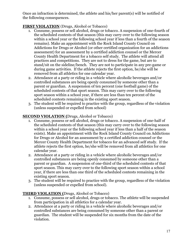Once an infraction is determined, the athlete and his/her parent(s) will be notified of the following consequences.

#### **FIRST VIOLATION** (Drugs, Alcohol or Tobacco)

- 1. Consume, possess or sell alcohol, drugs or tobacco. A suspension of one-fourth of the scheduled contests of that season (this may carry over to the following season within a school year or the following school year if less than a fourth of the season remains). Make an appointment with the Rock Island County Council on Addictions for Drugs or Alcohol (or other certified organization for an addictions assessment) for an assessment by a certified addiction counsel or the Mercer County Health Department for a tobacco self study. The athlete will attend all practices and competitions. They are not to dress for the game, but are to stand/sit on the sideline/bench. They are not to participate in any pre-game or during game activities. If the athlete rejects the first option, he/she will be removed from all athletics for one calendar year.
- 2. Attendance at a party or riding in a vehicle where alcoholic beverages and/or controlled substances are being openly consumed by someone other than a parent or guardian. A suspension of ten percent (one football game) of the scheduled contests of that sport season. This may carry over to the following sport season within a school year, if there are less than ten percent of the scheduled contests remaining in the existing sport season.
- 3. The student will be required to practice with the group, regardless of the violation (unless suspended or expelled from school)

#### **SECOND VIOLATION (**Drugs, Alcohol or Tobacco)

- 1. Consume, possess or sell alcohol, drugs or tobacco. A suspension of one-half of the scheduled contests of that season (this may carry over to the following season within a school year or the following school year if less than a half of the season exists). Make an appointment with the Rock Island County Council on Addictions for Drugs or Alcohol for an assessment by a certified addiction counsel or the Mercer County Health Department for tobacco for an advanced self study. If the athlete rejects the first option, he/she will be removed from all athletics for one calendar year.
- 2. Attendance at a party or riding in a vehicle where alcoholic beverages and/or controlled substances are being openly consumed by someone other than a parent or guardian. A suspension of one-third of the scheduled contests of that sport season. This may carry over to the following sport season within a school year, if there are less than one third of the scheduled contests remaining in the existing sport season.
- 3. The student will be required to practice with the group, regardless of the violation (unless suspended or expelled from school).

#### **THIRD VIOLATION (**Drugs, Alcohol or Tobacco)

- 1. Consume, possess or sell alcohol, drugs or tobacco. The athlete will be suspended from participation in all athletics for a calendar year.
- 2. Attendance at a party or riding in a vehicle where alcoholic beverages and/or controlled substances are being consumed by someone other than a parent or guardian. The student will be suspended for six months from the date of the violation.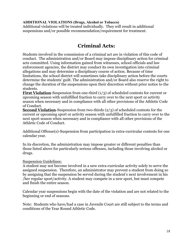#### **ADDITIONAL VIOLATIONS (Drugs, Alcohol or Tobacco)**

Additional violations will be treated individually. They will result in additional suspensions and/or possible recommendation/requirement for treatment.

## **Criminal Acts:**

Students involved in the commission of a criminal act are in violation of this code of conduct. The administration and/or Board may impose disciplinary action for criminal acts committed. Using information gained from witnesses, school officials and law enforcement agencies, the district may conduct its own investigation into criminal allegations and may determine a disciplinary course of action. Because of time limitations, the school district will sometimes take disciplinary action before the courts determine the students' guilt. The administration and/or Board also reserve the right to change the duration of the suspensions upon their discretion without prior notice to the students.

**First Violation**-Suspension from one-third (1/3) of scheduled contests for current or upcoming season with unfulfilled fraction to carry over to the next sport or activity season when necessary and in compliance with all other provisions of the Athletic Code of Conduct.

**Second Violation**-Suspension from two-thirds (2/3) of scheduled contests for the current or upcoming sport or activity season with unfulfilled fraction to carry over to the next sport season when necessary and in compliance with all other provisions of the Athletic Code of Conduct.

Additional Offense(s)-Suspension from participation in extra-curricular contests for one calendar year.

In its discretion, the administration may impose greater or different penalties than those listed above for particularly serious offenses, including those involving alcohol or drugs.

#### Suspension Guidelines:

A student may not become involved in a new extra-curricular activity solely to serve the assigned suspension. Therefore, an administrator may prevent a student from doing so by assigning that the suspension be served during the student's next involvement in his /her regular sport/activity. A student may compete in a new sport, but must compete and finish the entire season.

Calendar year suspensions begin with the date of the violation and are not related to the beginning or end of seasons.

Note: Students who have/had a case in Juvenile Court are still subject to the terms and conditions of the Year Round Athletic Code.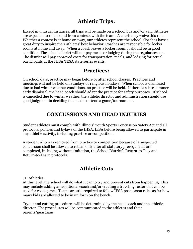## **Athletic Trips:**

Except in unusual instances, all trips will be made on a school bus and/or van. Athletes are expected to ride to and from contests with the team. A coach may waive this rule. Whether a contest is at home or away, our athletes represent the school. Coaches have a great duty to inspire their athletes' best behavior. Coaches are responsible for locker rooms at home and away. When a coach leaves a locker room, it should be in good condition. The school district will not pay meals or lodging during the regular season. The district will pay approved costs for transportation, meals, and lodging for actual participants at the IHSA/IESA state series events.

## **Practices:**

On school days, practice may begin before or after school classes. Practices and meetings will not be held on Sundays or religious holidays. When school is dismissed due to bad winter weather conditions, no practice will be held. If there is a late summer early dismissal, the head coach should adapt the practice for safety purposes. If school is cancelled due to winter weather, the athletic director and administration should use good judgment in deciding the need to attend a game/tournament.

## **CONCUSSIONS AND HEAD INJURIES**

Student athletes must comply with Illinois' Youth Sports Concussion Safety Act and all protocols, policies and bylaws of the IHSA/IESA before being allowed to participate in any athletic activity, including practice or competition.

A student who was removed from practice or competition because of a suspected concussion shall be allowed to return only after all statutory prerequisites are completed, including without limitation, the School District's Return-to-Play and Return-to-Learn protocols.

## **Athletic Cuts**

JH Athletics:

At this level, the school will do what it can to try and prevent cuts from happening. This may include adding an additional coach and/or creating a traveling roster that can be used for road games. Teams are still required to follow IESA postseason rules as far how many kids are allowed to be in uniform on the bench.

Tryout and cutting procedures will be determined by the head coach and the athletic director. The procedures will be communicated to the athletes and their parents/guardians.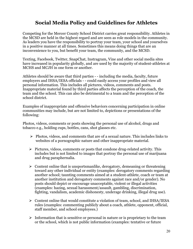## **Social Media Policy and Guidelines for Athletes**

Competing for the Mercer County School District carries great responsibility. Athletes in the MCSD are held in the highest regard and are seen as role models in the community. As leaders you have the responsibility to portray your team, your school and yourselves in a positive manner at all times. Sometimes this means doing things that are an inconvenience to you, but benefit your team, the community, and the MCSD.

Texting, Facebook, Twitter, SnapChat, Instragram, Vine and other social media sites have increased in popularity globally, and are used by the majority of student-athletes at MCHS and MCJH in one form or another.

Athletes should be aware that third parties - - including the media, faculty, future employers and IHSA/IESA officials - - could easily access your profiles and view all personal information. This includes all pictures, videos, comments and posts. Inappropriate material found by third parties affects the perception of the coach, the team and the school. This can also be detrimental to a team and the perception of the school district.

Examples of inappropriate and offensive behaviors concerning participation in online communities may include, but are not limited to, depictions or presentations of the following:

Photos, videos, comments or posts showing the personal use of alcohol, drugs and tobacco e.g., holding cups, bottles, cans, shot glasses etc.

- $\triangleright$  Photos, videos, and comments that are of a sexual nature. This includes links to websites of a pornographic nature and other inappropriate material.
- $\triangleright$  Pictures, videos, comments or posts that condone drug-related activity. This includes but is not limited to images that portray the personal use of marijuana and drug paraphernalia.
- $\triangleright$  Content online that is unsportsmanlike, derogatory, demeaning or threatening toward any other individual or entity (examples: derogatory comments regarding another school; taunting comments aimed at a student-athlete, coach or team at another institution and derogatory comments against race and/or gender). No posts should depict or encourage unacceptable, violent or illegal activities (examples: hazing, sexual harassment/assault, gambling, discrimination, fighting, vandalism, academic dishonesty, underage drinking, illegal drug use).
- $\triangleright$  Content online that would constitute a violation of team, school, and IHSA/IESA rules (examples: commenting publicly about a coach, athlete, opponent, official, staff member, and school employees.)
- $\triangleright$  Information that is sensitive or personal in nature or is proprietary to the team or the school, which is not public information (examples: tentative or future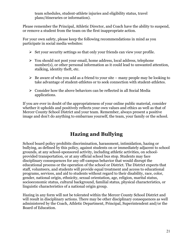team schedules, student-athlete injuries and eligibility status, travel plans/itineraries or information).

Please remember the Principal, Athletic Director, and Coach have the ability to suspend, or remove a student from the team on the first inappropriate action.

For your own safety, please keep the following recommendations in mind as you participate in social media websites:

- $\triangleright$  Set your security settings so that only your friends can view your profile.
- $\triangleright$  You should not post your email, home address, local address, telephone number(s), or other personal information as it could lead to unwanted attention, stalking, identity theft, etc.
- $\triangleright$  Be aware of who you add as a friend to your site many people may be looking to take advantage of student-athletes or to seek connection with student-athletes.
- $\triangleright$  Consider how the above behaviors can be reflected in all Social Media applications.

If you are ever in doubt of the appropriateness of your online public material, consider whether it upholds and positively reflects your own values and ethics as well as that of Mercer County School District and your team. Remember, always present a positive image and don't do anything to embarrass yourself, the team, your family or the school.

## **Hazing and Bullying**

School board policy prohibits discrimination, harassment, intimidation, hazing or bullying, as defined by this policy, against students on or immediately adjacent to school grounds, at any school-sponsored activity, including athletic activities, on schoolprovided transportation, or at any official school bus stop. Students may face disciplinary consequences for any off-campus behavior that would disrupt the educational process or the operation of the school or District. The District expects that staff, volunteers, and students will provide equal treatment and access to educational programs, services, and aid to students without regard to their disability, race, color, gender, national origin, ethnicity, sexual orientation, age, religion, marital status, socioeconomic status, cultural background, familial status, physical characteristics, or linguistic characteristics of a national origin group.

Hazing in any form will not be tolerated within the Mercer County School District and will result in disciplinary actions. There may be other disciplinary consequences as well administered by the Coach, Athletic Department, Principal, Superintendent and/or the Board of Education.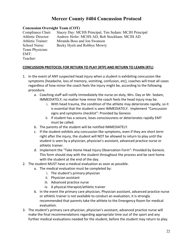## **Mercer County #404 Concussion Protocol**

#### **Concussion Oversight Team (COT)**

Compliance Chair: Stacey Day: MCHS Principal, Tim Sedam: MCJH Principal Athletic Director: Andrew Hofer: MCHS AD, Bob Stockham: MCJH AD Athletic Trainer: Miranda Boss and Jon Swanson School Nurse: Becky Hyett and Robbye Mowry Team Physician: EMT: Teacher:

#### **CONCUSSION PROTOCOL FOR RETURN TO PLAY (RTP) AND RETURN TO LEARN (RTL)**

- 1. In the event of ANY suspected head injury when a student is exhibiting concussion like symptoms (headache, loss of memory, vomiting, confusion, etc), coaches will treat all cases regardless of how minor the coach feels the injury might be, according to the following procedure.
	- a. Coaching staff will notify immediately the nurse on duty, Mrs. Day or Mr. Sedam, IMMEDIATELY; no matter how minor the coach feels the head injury may be.
		- i. With head trauma, the condition of the athlete may deteriorate rapidly, so it is essential that the student is seen IMMEDIATELY. Implement "Concussion signs and symptoms checklist": Provided by Genesis
		- ii. If student has a seizure, loses consciousness or deteriorates rapidly EMT must be called.
	- b. The parents of the student will be notified IMMEDIATELY.
	- c. If the student exhibits any concussion like symptoms, even if they are short term right after the injury, the student will NOT be allowed to return to play until the student is seen by a physician, physician's assistant, advanced practice nurse or athletic trainer.
	- d. Implement the "Take Home Head Injury Observation Form": Provided by Genesis. This form should stay with the student throughout the process and be sent home with the student at the end of the day.
- 2. The student MUST have a medical evaluation as soon as possible.
	- a. The medical evaluation must be completed by:
		- i. The student's primary physician
		- ii. Physician assistant
		- iii. Advanced practice nurse
		- iv. A physical therapist/athletic trainer
	- b. In the event the primary care physician, Physician assistant, advanced practice nurse or athletic trainer is not available to conduct an evaluation, it is strongly recommended that parents take the athlete to the Emergency Room for medical evaluation.
- 3. The student's primary care physician, physician's assistant, advanced practice nurse will make the final recommendations regarding appropriate time out of the sport and any further medical evaluations needed for the student, before the student may return to play.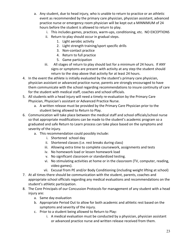- a. Any student, due to head injury, who is unable to return to practice or an athletic event as recommended by the primary care physician, physician assistant, advanced practice nurse or emergency room physician will be kept out a MINNIMUM of 24 hours before the student is allowed to return to play.
	- i. This includes games, practices, warm-ups, conditioning, etc. NO EXCEPTIONS
	- ii. Return to play should occur in gradual steps.
		- 1. Light aerobic activity
		- 2. Light strength training/sport specific drills
		- 3. Non-contact practice
		- 4. Return to full practice
		- 5. Game participation
	- iii. All stages of return to play should last for a minimum of 24 hours. If ANY signs or symptoms are present with activity at any step the student should return to the step above that activity for at least 24 hours.
- 4. In the event the athlete is initially evaluated by the student's primary care physician, physician assistant or advanced practice nurse, parents are strongly encouraged to have them communicate with the school regarding recommendations to insure continuity of care for the student with medical staff, coaches and school officials.
- 5. All students with a head injury will need a timely re-evaluation by the Primary Care Physician, Physician's assistant or Advanced Practice Nurse.
	- a. A written release must be provided by the Primary Care Physician prior to the student being allowed to Return to Play.
- 6. Communication will take place between the medical staff and school officials/school nurse so that appropriate modifications can be made to the student's academic program so a graduated and safe Return to Learn process can take place based on the symptoms and severity of the injury.
	- a. This recommendation could possibly include:
		- i. Shortened school day
		- ii. Shortened classes (i.e. rest breaks during class)
		- iii. Allowing extra time to complete coursework, assignments and tests
		- iv. No homework load or lessen homework load
		- v. No significant classroom or standardized testing.
		- vi. No stimulating activities at home or in the classroom (TV, computer, reading, video games).
		- vii. Excusal from PE and/or Body Conditioning (including weight lifting at school)
- 7. At all times there should be communication with the student, parents, coaches and appropriate school officials regarding any medical evaluations and recommendations on the student's athletic participation.
- 8. The Core Principals of our Concussion Protocols for management of any student with a head injury are:
	- a. Same day evaluation
	- b. Appropriate Period Out to allow for both academic and athletic rest based on the symptoms and severity of the injury.
	- c. Prior to a student being allowed to Return to Play:
		- i. A medical evaluation must be conducted by a physician, physician assistant or advanced practice nurse and written release received from them.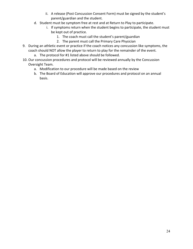- ii. A release (Post Concussion Consent Form) must be signed by the student's parent/guardian and the student.
- d. Student must be symptom free at rest and at Return to Play to participate.
	- i. If symptoms return when the student begins to participate, the student must be kept out of practice.
		- 1. The coach must call the student's parent/guardian
		- 2. The parent must call the Primary Care Physician
- 9. During an athletic event or practice if the coach notices any concussion like symptoms, the coach should NOT allow the player to return to play for the remainder of the event.
	- a. The protocol for #1 listed above should be followed.
- 10. Our concussion procedures and protocol will be reviewed annually by the Concussion Oversight Team.
	- a. Modification to our procedure will be made based on the review
	- b. The Board of Education will approve our procedures and protocol on an annual basis.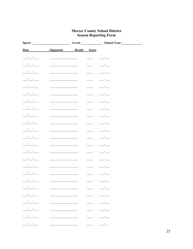## **Mercer County School District<br>Season Reporting Form**

| Sport:                                                                                                                                                                                                                                                                                                                                                                                                                                         |                                   |                                                                                                                                                                                                                                      | School Year:                                                                                                                                                                                                                                                                                                                                                                                 |
|------------------------------------------------------------------------------------------------------------------------------------------------------------------------------------------------------------------------------------------------------------------------------------------------------------------------------------------------------------------------------------------------------------------------------------------------|-----------------------------------|--------------------------------------------------------------------------------------------------------------------------------------------------------------------------------------------------------------------------------------|----------------------------------------------------------------------------------------------------------------------------------------------------------------------------------------------------------------------------------------------------------------------------------------------------------------------------------------------------------------------------------------------|
| Date                                                                                                                                                                                                                                                                                                                                                                                                                                           | <b>Opponent</b> Result Score      |                                                                                                                                                                                                                                      |                                                                                                                                                                                                                                                                                                                                                                                              |
| $\frac{1}{2}$                                                                                                                                                                                                                                                                                                                                                                                                                                  |                                   |                                                                                                                                                                                                                                      |                                                                                                                                                                                                                                                                                                                                                                                              |
| $\frac{1}{\sqrt{2}}$                                                                                                                                                                                                                                                                                                                                                                                                                           |                                   |                                                                                                                                                                                                                                      |                                                                                                                                                                                                                                                                                                                                                                                              |
| $\frac{1}{2}$ $\frac{1}{2}$ $\frac{1}{2}$ $\frac{1}{2}$ $\frac{1}{2}$ $\frac{1}{2}$ $\frac{1}{2}$ $\frac{1}{2}$ $\frac{1}{2}$ $\frac{1}{2}$ $\frac{1}{2}$ $\frac{1}{2}$ $\frac{1}{2}$ $\frac{1}{2}$ $\frac{1}{2}$ $\frac{1}{2}$ $\frac{1}{2}$ $\frac{1}{2}$ $\frac{1}{2}$ $\frac{1}{2}$ $\frac{1}{2}$ $\frac{1}{2}$                                                                                                                            |                                   |                                                                                                                                                                                                                                      |                                                                                                                                                                                                                                                                                                                                                                                              |
| $\frac{1}{2}$ $\frac{1}{2}$ $\frac{1}{2}$ $\frac{1}{2}$ $\frac{1}{2}$ $\frac{1}{2}$ $\frac{1}{2}$ $\frac{1}{2}$ $\frac{1}{2}$ $\frac{1}{2}$ $\frac{1}{2}$ $\frac{1}{2}$ $\frac{1}{2}$ $\frac{1}{2}$ $\frac{1}{2}$ $\frac{1}{2}$ $\frac{1}{2}$ $\frac{1}{2}$ $\frac{1}{2}$ $\frac{1}{2}$ $\frac{1}{2}$ $\frac{1}{2}$                                                                                                                            |                                   |                                                                                                                                                                                                                                      | <u> 1000 - 100</u>                                                                                                                                                                                                                                                                                                                                                                           |
| $\frac{1}{\sqrt{2}}$                                                                                                                                                                                                                                                                                                                                                                                                                           |                                   |                                                                                                                                                                                                                                      | <u> - 1989 - 1991 - 1992 - 1993 - 1994 - 1994 - 1994 - 1994 - 1994 - 1994 - 1994 - 1994 - 1994 - 1994 - 1994 - 1</u>                                                                                                                                                                                                                                                                         |
| $\frac{1}{\sqrt{2}}$                                                                                                                                                                                                                                                                                                                                                                                                                           |                                   |                                                                                                                                                                                                                                      |                                                                                                                                                                                                                                                                                                                                                                                              |
| $\frac{1}{1}$                                                                                                                                                                                                                                                                                                                                                                                                                                  |                                   |                                                                                                                                                                                                                                      |                                                                                                                                                                                                                                                                                                                                                                                              |
| $\frac{1}{2}$                                                                                                                                                                                                                                                                                                                                                                                                                                  |                                   |                                                                                                                                                                                                                                      |                                                                                                                                                                                                                                                                                                                                                                                              |
| $\frac{1}{2}$ $\frac{1}{2}$ $\frac{1}{2}$ $\frac{1}{2}$ $\frac{1}{2}$ $\frac{1}{2}$ $\frac{1}{2}$ $\frac{1}{2}$ $\frac{1}{2}$ $\frac{1}{2}$ $\frac{1}{2}$ $\frac{1}{2}$ $\frac{1}{2}$ $\frac{1}{2}$ $\frac{1}{2}$ $\frac{1}{2}$ $\frac{1}{2}$ $\frac{1}{2}$ $\frac{1}{2}$ $\frac{1}{2}$ $\frac{1}{2}$ $\frac{1}{2}$                                                                                                                            |                                   |                                                                                                                                                                                                                                      |                                                                                                                                                                                                                                                                                                                                                                                              |
| $\frac{1}{2}$                                                                                                                                                                                                                                                                                                                                                                                                                                  |                                   |                                                                                                                                                                                                                                      |                                                                                                                                                                                                                                                                                                                                                                                              |
| $\frac{1}{2}$                                                                                                                                                                                                                                                                                                                                                                                                                                  |                                   |                                                                                                                                                                                                                                      |                                                                                                                                                                                                                                                                                                                                                                                              |
| $\frac{1}{1}$                                                                                                                                                                                                                                                                                                                                                                                                                                  |                                   |                                                                                                                                                                                                                                      |                                                                                                                                                                                                                                                                                                                                                                                              |
| $\frac{1}{1}$                                                                                                                                                                                                                                                                                                                                                                                                                                  |                                   |                                                                                                                                                                                                                                      |                                                                                                                                                                                                                                                                                                                                                                                              |
| $\frac{1}{\sqrt{2}}$                                                                                                                                                                                                                                                                                                                                                                                                                           |                                   |                                                                                                                                                                                                                                      | <u> - 1989</u>                                                                                                                                                                                                                                                                                                                                                                               |
| $\frac{1}{2}$                                                                                                                                                                                                                                                                                                                                                                                                                                  |                                   |                                                                                                                                                                                                                                      |                                                                                                                                                                                                                                                                                                                                                                                              |
| $\frac{1}{\sqrt{2}}$<br>$\frac{1}{2}$ $\frac{1}{2}$ $\frac{1}{2}$ $\frac{1}{2}$ $\frac{1}{2}$ $\frac{1}{2}$ $\frac{1}{2}$ $\frac{1}{2}$ $\frac{1}{2}$ $\frac{1}{2}$ $\frac{1}{2}$ $\frac{1}{2}$ $\frac{1}{2}$ $\frac{1}{2}$ $\frac{1}{2}$ $\frac{1}{2}$ $\frac{1}{2}$ $\frac{1}{2}$ $\frac{1}{2}$ $\frac{1}{2}$ $\frac{1}{2}$ $\frac{1}{2}$                                                                                                    |                                   |                                                                                                                                                                                                                                      |                                                                                                                                                                                                                                                                                                                                                                                              |
| $\frac{1}{2}$                                                                                                                                                                                                                                                                                                                                                                                                                                  |                                   |                                                                                                                                                                                                                                      |                                                                                                                                                                                                                                                                                                                                                                                              |
| $\frac{1}{1-\frac{1}{1-\frac{1}{1-\frac{1}{1-\frac{1}{1-\frac{1}{1-\frac{1}{1-\frac{1}{1-\frac{1}{1-\frac{1}{1-\frac{1}{1-\frac{1}{1-\frac{1}{1-\frac{1}{1-\frac{1}{1-\frac{1}{1-\frac{1}{1-\frac{1}{1-\frac{1}{1-\frac{1}{1-\frac{1}{1-\frac{1}{1-\frac{1}{1-\frac{1}{1-\frac{1}{1-\frac{1}{1-\frac{1}{1-\frac{1}{1-\frac{1}{1-\frac{1}{1-\frac{1}{1-\frac{1}{1-\frac{1}{1-\frac{1}{1-\frac{1}{1-\frac{1}{1-\frac{1$                          | <b>Contract Contract Contract</b> | <u>and the contract of the contract of the contract of the contract of the contract of the contract of the contract of the contract of the contract of the contract of the contract of the contract of the contract of the contr</u> | $\frac{1}{2}$                                                                                                                                                                                                                                                                                                                                                                                |
|                                                                                                                                                                                                                                                                                                                                                                                                                                                |                                   |                                                                                                                                                                                                                                      | $\frac{1}{2}$                                                                                                                                                                                                                                                                                                                                                                                |
| $\frac{\frac{1}{2}}{\frac{1}{2}}\frac{\frac{1}{2}}{\frac{1}{2}}\frac{\frac{1}{2}}{\frac{1}{2}}\frac{\frac{1}{2}}{\frac{1}{2}}\frac{\frac{1}{2}}{\frac{1}{2}}\frac{\frac{1}{2}}{\frac{1}{2}}\frac{\frac{1}{2}}{\frac{1}{2}}\frac{\frac{1}{2}}{\frac{1}{2}}\frac{\frac{1}{2}}{\frac{1}{2}}\frac{\frac{1}{2}}{\frac{1}{2}}\frac{\frac{1}{2}}{\frac{1}{2}}\frac{\frac{1}{2}}{\frac{1}{2}}\frac{\frac{1}{2}}{\frac{1}{2}}\frac{\frac{1}{2}}{\frac{$ |                                   |                                                                                                                                                                                                                                      | $\frac{1}{2} \left( \frac{1}{2} \frac{1}{2} \frac{1}{2} \frac{1}{2} \frac{1}{2} \frac{1}{2} \frac{1}{2} \frac{1}{2} \frac{1}{2} \frac{1}{2} \frac{1}{2} \frac{1}{2} \frac{1}{2} \frac{1}{2} \frac{1}{2} \frac{1}{2} \frac{1}{2} \frac{1}{2} \frac{1}{2} \frac{1}{2} \frac{1}{2} \frac{1}{2} \frac{1}{2} \frac{1}{2} \frac{1}{2} \frac{1}{2} \frac{1}{2} \frac{1}{2} \frac{1}{2} \frac{1}{2}$ |
| $\frac{1}{\sqrt{2}}$                                                                                                                                                                                                                                                                                                                                                                                                                           |                                   |                                                                                                                                                                                                                                      | $\mathcal{F}_{\text{max}}$                                                                                                                                                                                                                                                                                                                                                                   |
| $\frac{1}{\sqrt{2}}$                                                                                                                                                                                                                                                                                                                                                                                                                           |                                   |                                                                                                                                                                                                                                      |                                                                                                                                                                                                                                                                                                                                                                                              |
| $\frac{1}{2}$                                                                                                                                                                                                                                                                                                                                                                                                                                  |                                   |                                                                                                                                                                                                                                      |                                                                                                                                                                                                                                                                                                                                                                                              |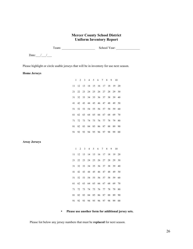#### **Mercer County School District Uniform Inventory Report**

Team: \_\_\_\_\_\_\_\_\_\_\_\_\_\_\_\_\_\_\_\_\_ School Year: \_\_\_\_\_\_\_\_\_\_\_\_\_\_\_

Date: $\frac{1}{\sqrt{2}}$ 

Please highlight or circle usable jerseys that will be in inventory for use next season.

**Home Jerseys**

|                     | 1            | $\overline{2}$ | 3             | $\overline{4}$ | 5             | 6                | $\tau$           | 8           | 9        | 10       |
|---------------------|--------------|----------------|---------------|----------------|---------------|------------------|------------------|-------------|----------|----------|
|                     | 11           | 12             | 13            | 14             | 15            | 16               | 17               | 18          | 19       | 20       |
|                     | 21           | 22             | 23            | 24             | $25\,$        | 26               | 27               | 28          | 29       | 30       |
|                     | 31           | 32             | 33            | 34             | 35            | 36               | 37               | 38          | 39       | 40       |
|                     | 41           | 42             | 43            | 44             | 45            | 46               | 47               | 48          | 49       | 50       |
|                     | 51           | 52             | 53            | 54             | 55            | 56               | 57               | 58          | 59       | 60       |
|                     | 61           | 62             | 63            | 64             | 65            | 66               | 67               | 68          | 69       | 70       |
|                     | 71           | 72             | 73            | 74             | 75            | 76               | 77               | 78          | 79       | 80       |
|                     | 81           | 82             | 83            | 84             | 85            | 86               | 87               | 88          | 89       | 90       |
|                     | 91           | 92             | 93            | 94             | 95            | 96               | 97               | 98          | 99       | $00\,$   |
|                     |              |                |               |                |               |                  |                  |             |          |          |
| <b>Away Jerseys</b> |              |                |               |                |               |                  |                  |             |          |          |
|                     | $\mathbf{1}$ | $\sqrt{2}$     | $\mathfrak z$ | $\overline{4}$ | $\mathfrak s$ | $\boldsymbol{6}$ | $\boldsymbol{7}$ | $\,$ 8 $\,$ | 9        | 10       |
|                     | 11<br>21     | 12<br>22       | 13<br>23      | 14<br>24       | 15            | 16<br>26         | 17<br>27         | 18<br>28    | 19<br>29 | 20<br>30 |
|                     | 31           | 32             | 33            | 34             | 25<br>35      | 36               | 37               | 38          | 39       | 40       |
|                     | 41           | 42             | 43            | 44             | 45            | 46               | 47               | 48          | 49       | 50       |
|                     | 51           | 52             | 53            | 54             | 55            | 56               | 57               | 58          | 59       | 60       |
|                     | 61           | 62             | 63            | 64             | 65            | 66               | 67               | 68          | 69       | 70       |
|                     | 71           | 72             | 73            | 74             | 75            | 76               | 77               | 78          | 79       | 80       |
|                     | 81           | 82             | 83            | 84             | 85            | 86               | 87               | 88          | 89       | 90       |
|                     | 91           | 92             | 93            | 94             | 95            | 96               | 97               | 98          | 99       | $00\,$   |

#### • **Please use another form for additional jersey sets.**

Please list below any jersey numbers that must be **replaced** for next season.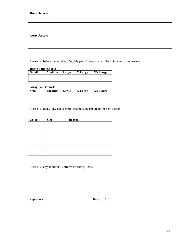**Home Jerseys**

**Away Jerseys**

| the contract of the contract of the contract of the contract of the contract of |  |  |
|---------------------------------------------------------------------------------|--|--|
|                                                                                 |  |  |
|                                                                                 |  |  |

Please list below the number of usable pants/shorts that will be in inventory next season.

#### **Home Pants/Shorts**

| Small | Medium Large | <b>X</b> Large | XX Large |
|-------|--------------|----------------|----------|
|       |              |                |          |
|       |              |                |          |

#### **Away Pants/Shorts**

| <b>Small</b> | Medium | Large | X Large | XX Large |
|--------------|--------|-------|---------|----------|
|              |        |       |         |          |
|              |        |       |         |          |

Please list below any pants/shorts that must be **replaced** for next season.

| $\overline{\text{Color}}$ | <b>Size</b> | Reason |
|---------------------------|-------------|--------|
|                           |             |        |
|                           |             |        |
|                           |             |        |
|                           |             |        |
|                           |             |        |
|                           |             |        |
|                           |             |        |

Please list any additional uniform inventory items:

| Signature: | Date: |  |
|------------|-------|--|
|            |       |  |